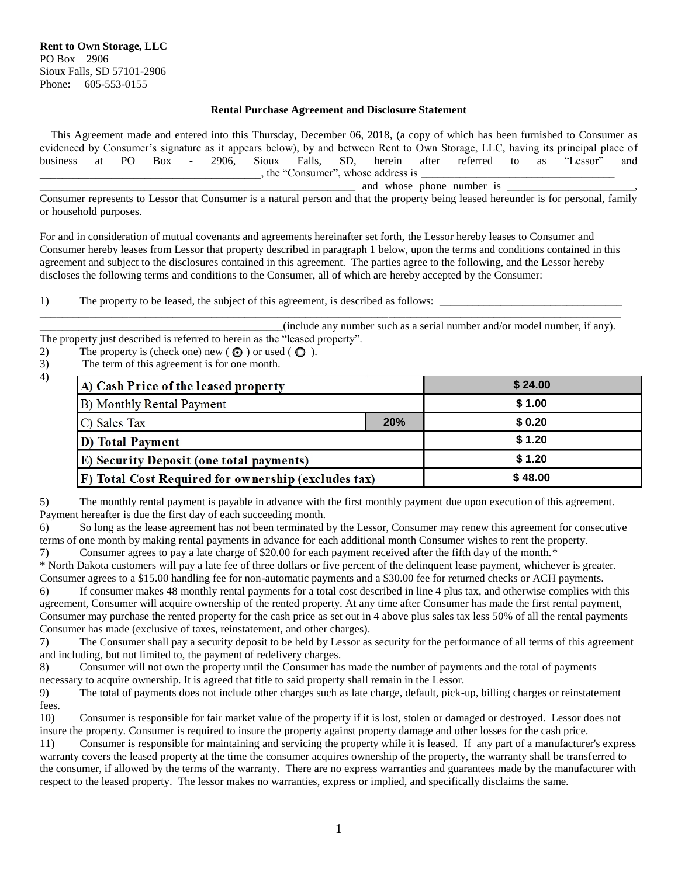## **Rental Purchase Agreement and Disclosure Statement**

 This Agreement made and entered into this Thursday, December 06, 2018, (a copy of which has been furnished to Consumer as evidenced by Consumer's signature as it appears below), by and between Rent to Own Storage, LLC, having its principal place of business at PO Box - 2906, Sioux Falls, SD, herein after referred to as "Lessor" and , the "Consumer", whose address is

\_\_\_\_\_\_\_\_\_\_\_\_\_\_\_\_\_\_\_\_\_\_\_\_\_\_\_\_\_\_\_\_\_\_\_\_\_\_\_\_\_\_\_\_\_\_\_\_\_\_\_\_\_\_\_\_\_ and whose phone number is \_\_\_\_\_\_\_\_\_\_\_\_\_\_\_\_\_\_\_\_\_\_\_,

Consumer represents to Lessor that Consumer is a natural person and that the property being leased hereunder is for personal, family or household purposes.

For and in consideration of mutual covenants and agreements hereinafter set forth, the Lessor hereby leases to Consumer and Consumer hereby leases from Lessor that property described in paragraph 1 below, upon the terms and conditions contained in this agreement and subject to the disclosures contained in this agreement. The parties agree to the following, and the Lessor hereby discloses the following terms and conditions to the Consumer, all of which are hereby accepted by the Consumer:

1) The property to be leased, the subject of this agreement, is described as follows:

\_\_\_\_\_\_\_\_\_\_\_\_\_\_\_\_\_\_\_\_\_\_\_\_\_\_\_\_\_\_\_\_\_\_\_\_\_\_\_\_\_\_\_\_\_\_\_\_\_\_\_\_\_\_\_\_\_\_\_\_\_\_\_\_\_\_\_\_\_\_\_\_\_\_\_\_\_\_\_\_\_\_\_\_\_\_\_\_\_\_\_\_\_\_\_\_\_\_\_\_\_\_\_\_\_ \_\_\_\_\_\_\_\_\_\_\_\_\_\_\_\_\_\_\_\_\_\_\_\_\_\_\_\_\_\_\_\_\_\_\_\_\_\_\_\_\_\_\_\_(include any number such as a serial number and/or model number, if any). The property just described is referred to herein as the "leased property".

2) The property is (check one) new  $(\bigodot)$  or used  $(\bigodot)$ .

3) The term of this agreement is for one month.

4)

| A) Cash Price of the leased property                 |     | \$24.00 |
|------------------------------------------------------|-----|---------|
| B) Monthly Rental Payment                            |     | \$1.00  |
| C) Sales Tax                                         | 20% | \$0.20  |
| <b>D</b> ) Total Payment                             |     | \$1.20  |
| <b>E</b> ) Security Deposit (one total payments)     |     | \$1.20  |
| [F] Total Cost Required for ownership (excludes tax) |     | \$48.00 |

5) The monthly rental payment is payable in advance with the first monthly payment due upon execution of this agreement. Payment hereafter is due the first day of each succeeding month.

6) So long as the lease agreement has not been terminated by the Lessor, Consumer may renew this agreement for consecutive terms of one month by making rental payments in advance for each additional month Consumer wishes to rent the property.

7) Consumer agrees to pay a late charge of \$20.00 for each payment received after the fifth day of the month.\* \* North Dakota customers will pay a late fee of three dollars or five percent of the delinquent lease payment, whichever is greater.

Consumer agrees to a \$15.00 handling fee for non-automatic payments and a \$30.00 fee for returned checks or ACH payments.

6) If consumer makes 48 monthly rental payments for a total cost described in line 4 plus tax, and otherwise complies with this agreement, Consumer will acquire ownership of the rented property. At any time after Consumer has made the first rental payment, Consumer may purchase the rented property for the cash price as set out in 4 above plus sales tax less 50% of all the rental payments Consumer has made (exclusive of taxes, reinstatement, and other charges).

7) The Consumer shall pay a security deposit to be held by Lessor as security for the performance of all terms of this agreement and including, but not limited to, the payment of redelivery charges.

8) Consumer will not own the property until the Consumer has made the number of payments and the total of payments necessary to acquire ownership. It is agreed that title to said property shall remain in the Lessor.

9) The total of payments does not include other charges such as late charge, default, pick-up, billing charges or reinstatement fees.

10) Consumer is responsible for fair market value of the property if it is lost, stolen or damaged or destroyed. Lessor does not insure the property. Consumer is required to insure the property against property damage and other losses for the cash price.

11) Consumer is responsible for maintaining and servicing the property while it is leased. If any part of a manufacturer's express warranty covers the leased property at the time the consumer acquires ownership of the property, the warranty shall be transferred to the consumer, if allowed by the terms of the warranty. There are no express warranties and guarantees made by the manufacturer with respect to the leased property. The lessor makes no warranties, express or implied, and specifically disclaims the same.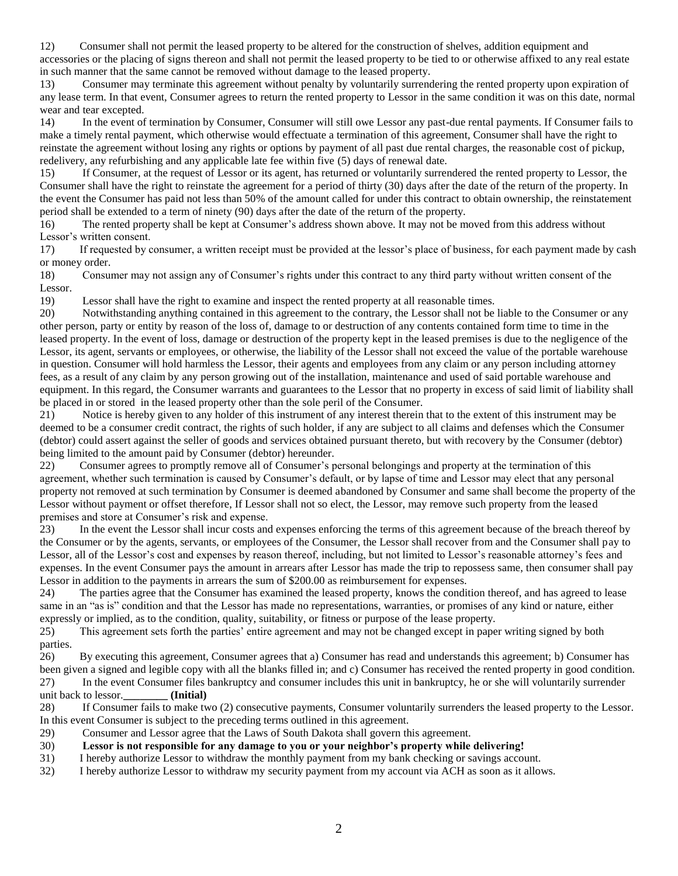12) Consumer shall not permit the leased property to be altered for the construction of shelves, addition equipment and accessories or the placing of signs thereon and shall not permit the leased property to be tied to or otherwise affixed to any real estate in such manner that the same cannot be removed without damage to the leased property.

13) Consumer may terminate this agreement without penalty by voluntarily surrendering the rented property upon expiration of any lease term. In that event, Consumer agrees to return the rented property to Lessor in the same condition it was on this date, normal wear and tear excepted.

14) In the event of termination by Consumer, Consumer will still owe Lessor any past-due rental payments. If Consumer fails to make a timely rental payment, which otherwise would effectuate a termination of this agreement, Consumer shall have the right to reinstate the agreement without losing any rights or options by payment of all past due rental charges, the reasonable cost of pickup, redelivery, any refurbishing and any applicable late fee within five (5) days of renewal date.

15) If Consumer, at the request of Lessor or its agent, has returned or voluntarily surrendered the rented property to Lessor, the Consumer shall have the right to reinstate the agreement for a period of thirty (30) days after the date of the return of the property. In the event the Consumer has paid not less than 50% of the amount called for under this contract to obtain ownership, the reinstatement period shall be extended to a term of ninety (90) days after the date of the return of the property.

16) The rented property shall be kept at Consumer's address shown above. It may not be moved from this address without Lessor's written consent.

17) If requested by consumer, a written receipt must be provided at the lessor's place of business, for each payment made by cash or money order.

18) Consumer may not assign any of Consumer's rights under this contract to any third party without written consent of the Lessor.

19) Lessor shall have the right to examine and inspect the rented property at all reasonable times.

20) Notwithstanding anything contained in this agreement to the contrary, the Lessor shall not be liable to the Consumer or any other person, party or entity by reason of the loss of, damage to or destruction of any contents contained form time to time in the leased property. In the event of loss, damage or destruction of the property kept in the leased premises is due to the negligence of the Lessor, its agent, servants or employees, or otherwise, the liability of the Lessor shall not exceed the value of the portable warehouse in question. Consumer will hold harmless the Lessor, their agents and employees from any claim or any person including attorney fees, as a result of any claim by any person growing out of the installation, maintenance and used of said portable warehouse and equipment. In this regard, the Consumer warrants and guarantees to the Lessor that no property in excess of said limit of liability shall be placed in or stored in the leased property other than the sole peril of the Consumer.

21) Notice is hereby given to any holder of this instrument of any interest therein that to the extent of this instrument may be deemed to be a consumer credit contract, the rights of such holder, if any are subject to all claims and defenses which the Consumer (debtor) could assert against the seller of goods and services obtained pursuant thereto, but with recovery by the Consumer (debtor) being limited to the amount paid by Consumer (debtor) hereunder.

22) Consumer agrees to promptly remove all of Consumer's personal belongings and property at the termination of this agreement, whether such termination is caused by Consumer's default, or by lapse of time and Lessor may elect that any personal property not removed at such termination by Consumer is deemed abandoned by Consumer and same shall become the property of the Lessor without payment or offset therefore, If Lessor shall not so elect, the Lessor, may remove such property from the leased premises and store at Consumer's risk and expense.

23) In the event the Lessor shall incur costs and expenses enforcing the terms of this agreement because of the breach thereof by the Consumer or by the agents, servants, or employees of the Consumer, the Lessor shall recover from and the Consumer shall pay to Lessor, all of the Lessor's cost and expenses by reason thereof, including, but not limited to Lessor's reasonable attorney's fees and expenses. In the event Consumer pays the amount in arrears after Lessor has made the trip to repossess same, then consumer shall pay Lessor in addition to the payments in arrears the sum of \$200.00 as reimbursement for expenses.

24) The parties agree that the Consumer has examined the leased property, knows the condition thereof, and has agreed to lease same in an "as is" condition and that the Lessor has made no representations, warranties, or promises of any kind or nature, either expressly or implied, as to the condition, quality, suitability, or fitness or purpose of the lease property.

25) This agreement sets forth the parties' entire agreement and may not be changed except in paper writing signed by both parties.

26) By executing this agreement, Consumer agrees that a) Consumer has read and understands this agreement; b) Consumer has been given a signed and legible copy with all the blanks filled in; and c) Consumer has received the rented property in good condition. 27) In the event Consumer files bankruptcy and consumer includes this unit in bankruptcy, he or she will voluntarily surrender

unit back to lessor.**\_\_\_\_\_\_\_\_ (Initial)**

28) If Consumer fails to make two (2) consecutive payments, Consumer voluntarily surrenders the leased property to the Lessor. In this event Consumer is subject to the preceding terms outlined in this agreement.

29) Consumer and Lessor agree that the Laws of South Dakota shall govern this agreement.

30) **Lessor is not responsible for any damage to you or your neighbor's property while delivering!**

31) I hereby authorize Lessor to withdraw the monthly payment from my bank checking or savings account.

32) I hereby authorize Lessor to withdraw my security payment from my account via ACH as soon as it allows.